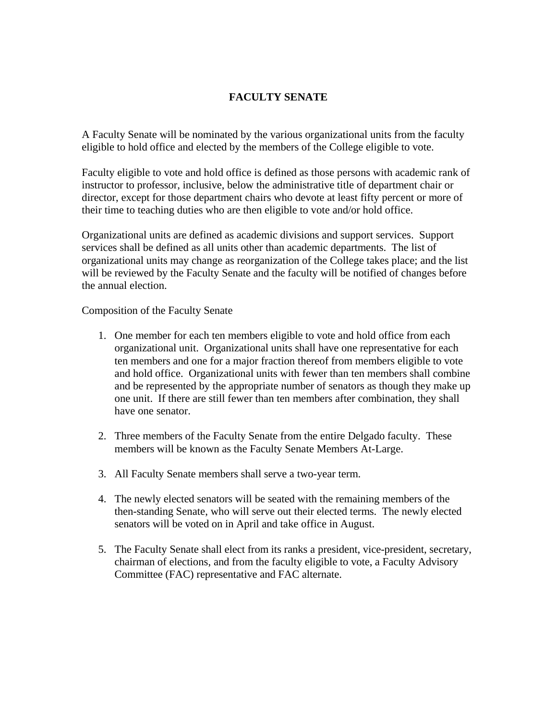## **FACULTY SENATE**

A Faculty Senate will be nominated by the various organizational units from the faculty eligible to hold office and elected by the members of the College eligible to vote.

Faculty eligible to vote and hold office is defined as those persons with academic rank of instructor to professor, inclusive, below the administrative title of department chair or director, except for those department chairs who devote at least fifty percent or more of their time to teaching duties who are then eligible to vote and/or hold office.

Organizational units are defined as academic divisions and support services. Support services shall be defined as all units other than academic departments. The list of organizational units may change as reorganization of the College takes place; and the list will be reviewed by the Faculty Senate and the faculty will be notified of changes before the annual election.

Composition of the Faculty Senate

- 1. One member for each ten members eligible to vote and hold office from each organizational unit. Organizational units shall have one representative for each ten members and one for a major fraction thereof from members eligible to vote and hold office. Organizational units with fewer than ten members shall combine and be represented by the appropriate number of senators as though they make up one unit. If there are still fewer than ten members after combination, they shall have one senator.
- 2. Three members of the Faculty Senate from the entire Delgado faculty. These members will be known as the Faculty Senate Members At-Large.
- 3. All Faculty Senate members shall serve a two-year term.
- 4. The newly elected senators will be seated with the remaining members of the then-standing Senate, who will serve out their elected terms. The newly elected senators will be voted on in April and take office in August.
- 5. The Faculty Senate shall elect from its ranks a president, vice-president, secretary, chairman of elections, and from the faculty eligible to vote, a Faculty Advisory Committee (FAC) representative and FAC alternate.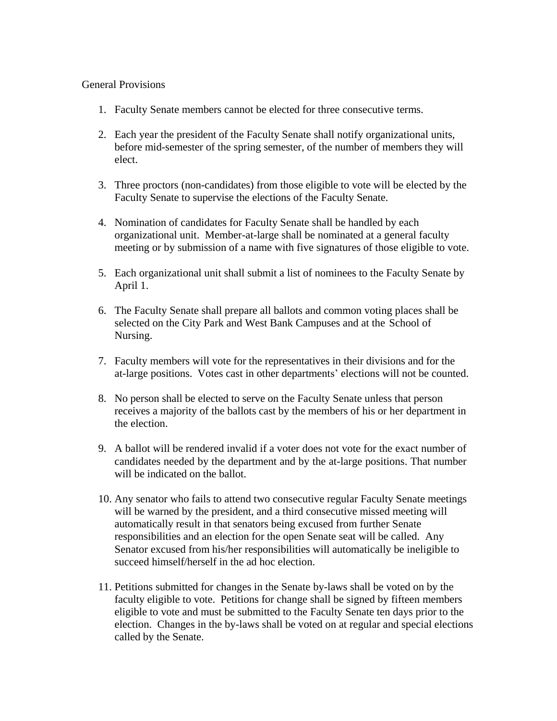## General Provisions

- 1. Faculty Senate members cannot be elected for three consecutive terms.
- 2. Each year the president of the Faculty Senate shall notify organizational units, before mid-semester of the spring semester, of the number of members they will elect.
- 3. Three proctors (non-candidates) from those eligible to vote will be elected by the Faculty Senate to supervise the elections of the Faculty Senate.
- 4. Nomination of candidates for Faculty Senate shall be handled by each organizational unit. Member-at-large shall be nominated at a general faculty meeting or by submission of a name with five signatures of those eligible to vote.
- 5. Each organizational unit shall submit a list of nominees to the Faculty Senate by April 1.
- 6. The Faculty Senate shall prepare all ballots and common voting places shall be selected on the City Park and West Bank Campuses and at the School of Nursing.
- 7. Faculty members will vote for the representatives in their divisions and for the at-large positions. Votes cast in other departments' elections will not be counted.
- 8. No person shall be elected to serve on the Faculty Senate unless that person receives a majority of the ballots cast by the members of his or her department in the election.
- 9. A ballot will be rendered invalid if a voter does not vote for the exact number of candidates needed by the department and by the at-large positions. That number will be indicated on the ballot.
- 10. Any senator who fails to attend two consecutive regular Faculty Senate meetings will be warned by the president, and a third consecutive missed meeting will automatically result in that senators being excused from further Senate responsibilities and an election for the open Senate seat will be called. Any Senator excused from his/her responsibilities will automatically be ineligible to succeed himself/herself in the ad hoc election.
- 11. Petitions submitted for changes in the Senate by-laws shall be voted on by the faculty eligible to vote. Petitions for change shall be signed by fifteen members eligible to vote and must be submitted to the Faculty Senate ten days prior to the election. Changes in the by-laws shall be voted on at regular and special elections called by the Senate.